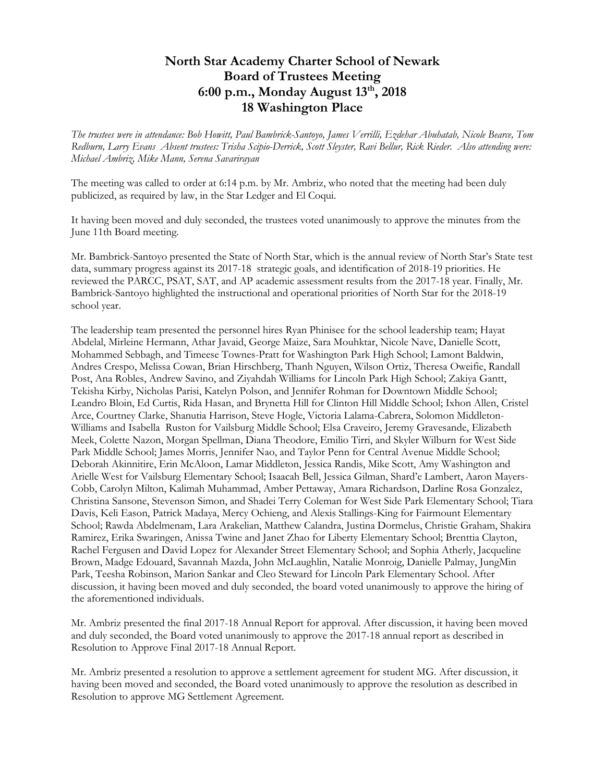## **North Star Academy Charter School of Newark Board of Trustees Meeting 6:00 p.m., Monday August 13 th, 2018 18 Washington Place**

*The trustees were in attendance: Bob Howitt, Paul Bambrick-Santoyo, James Verrilli, Ezdehar Abuhatab, Nicole Bearce, Tom Redburn, Larry Evans Absent trustees: Trisha Scipio-Derrick, Scott Sleyster, Ravi Bellur, Rick Rieder. Also attending were: Michael Ambriz, Mike Mann, Serena Savarirayan*

The meeting was called to order at 6:14 p.m. by Mr. Ambriz, who noted that the meeting had been duly publicized, as required by law, in the Star Ledger and El Coqui.

It having been moved and duly seconded, the trustees voted unanimously to approve the minutes from the June 11th Board meeting.

Mr. Bambrick-Santoyo presented the State of North Star, which is the annual review of North Star's State test data, summary progress against its 2017-18 strategic goals, and identification of 2018-19 priorities. He reviewed the PARCC, PSAT, SAT, and AP academic assessment results from the 2017-18 year. Finally, Mr. Bambrick-Santoyo highlighted the instructional and operational priorities of North Star for the 2018-19 school year.

The leadership team presented the personnel hires Ryan Phinisee for the school leadership team; Hayat Abdelal, Mirleine Hermann, Athar Javaid, George Maize, Sara Mouhktar, Nicole Nave, Danielle Scott, Mohammed Sebbagh, and Timeese Townes-Pratt for Washington Park High School; Lamont Baldwin, Andres Crespo, Melissa Cowan, Brian Hirschberg, Thanh Nguyen, Wilson Ortiz, Theresa Oweifie, Randall Post, Ana Robles, Andrew Savino, and Ziyahdah Williams for Lincoln Park High School; Zakiya Gantt, Tekisha Kirby, Nicholas Parisi, Katelyn Polson, and Jennifer Rohman for Downtown Middle School; Leandro Bloin, Ed Curtis, Rida Hasan, and Brynetta Hill for Clinton Hill Middle School; Ixhon Allen, Cristel Arce, Courtney Clarke, Shanutia Harrison, Steve Hogle, Victoria Lalama-Cabrera, Solomon Middleton-Williams and Isabella Ruston for Vailsburg Middle School; Elsa Craveiro, Jeremy Gravesande, Elizabeth Meek, Colette Nazon, Morgan Spellman, Diana Theodore, Emilio Tirri, and Skyler Wilburn for West Side Park Middle School; James Morris, Jennifer Nao, and Taylor Penn for Central Avenue Middle School; Deborah Akinnitire, Erin McAloon, Lamar Middleton, Jessica Randis, Mike Scott, Amy Washington and Arielle West for Vailsburg Elementary School; Isaacah Bell, Jessica Gilman, Shard'e Lambert, Aaron Mayers-Cobb, Carolyn Milton, Kalimah Muhammad, Amber Pettaway, Amara Richardson, Darline Rosa Gonzalez, Christina Sansone, Stevenson Simon, and Shadei Terry Coleman for West Side Park Elementary School; Tiara Davis, Keli Eason, Patrick Madaya, Mercy Ochieng, and Alexis Stallings-King for Fairmount Elementary School; Rawda Abdelmenam, Lara Arakelian, Matthew Calandra, Justina Dormelus, Christie Graham, Shakira Ramirez, Erika Swaringen, Anissa Twine and Janet Zhao for Liberty Elementary School; Brenttia Clayton, Rachel Fergusen and David Lopez for Alexander Street Elementary School; and Sophia Atherly, Jacqueline Brown, Madge Edouard, Savannah Mazda, John McLaughlin, Natalie Monroig, Danielle Palmay, JungMin Park, Teesha Robinson, Marion Sankar and Cleo Steward for Lincoln Park Elementary School. After discussion, it having been moved and duly seconded, the board voted unanimously to approve the hiring of the aforementioned individuals.

Mr. Ambriz presented the final 2017-18 Annual Report for approval. After discussion, it having been moved and duly seconded, the Board voted unanimously to approve the 2017-18 annual report as described in Resolution to Approve Final 2017-18 Annual Report.

Mr. Ambriz presented a resolution to approve a settlement agreement for student MG. After discussion, it having been moved and seconded, the Board voted unanimously to approve the resolution as described in Resolution to approve MG Settlement Agreement.